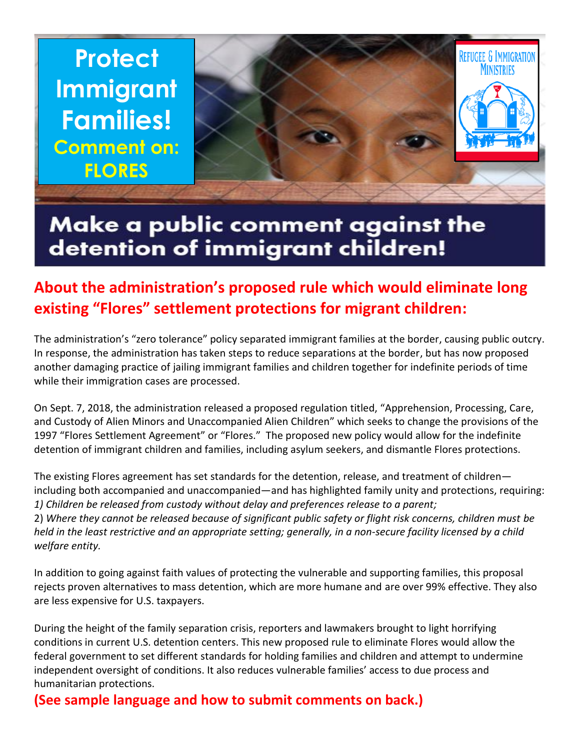**Protect Immigrant Families! Comment on: FLORES** 



## Make a public comment against the detention of immigrant children!

## **About the administration's proposed rule which would eliminate long existing "Flores" settlement protections for migrant children:**

The administration's "zero tolerance" policy separated immigrant families at the border, causing public outcry. In response, the administration has taken steps to reduce separations at the border, but has now proposed another damaging practice of jailing immigrant families and children together for indefinite periods of time while their immigration cases are processed.

On Sept. 7, 2018, the administration released a proposed regulation titled, "Apprehension, Processing, Care, and Custody of Alien Minors and Unaccompanied Alien Children" which seeks to change the provisions of the 1997 "Flores Settlement Agreement" or "Flores." The proposed new policy would allow for the indefinite detention of immigrant children and families, including asylum seekers, and dismantle Flores protections.

The existing Flores agreement has set standards for the detention, release, and treatment of children including both accompanied and unaccompanied—and has highlighted family unity and protections, requiring: *1) Children be released from custody without delay and preferences release to a parent;*

2) *Where they cannot be released because of significant public safety or flight risk concerns, children must be held in the least restrictive and an appropriate setting; generally, in a non-secure facility licensed by a child welfare entity.*

In addition to going against faith values of protecting the vulnerable and supporting families, this proposal rejects proven alternatives to mass detention, which are more humane and are over 99% effective. They also are less expensive for U.S. taxpayers.

During the height of the family separation crisis, reporters and lawmakers brought to light horrifying conditions in current U.S. detention centers. This new proposed rule to eliminate Flores would allow the federal government to set different standards for holding families and children and attempt to undermine independent oversight of conditions. It also reduces vulnerable families' access to due process and humanitarian protections.

**(See sample language and how to submit comments on back.)**